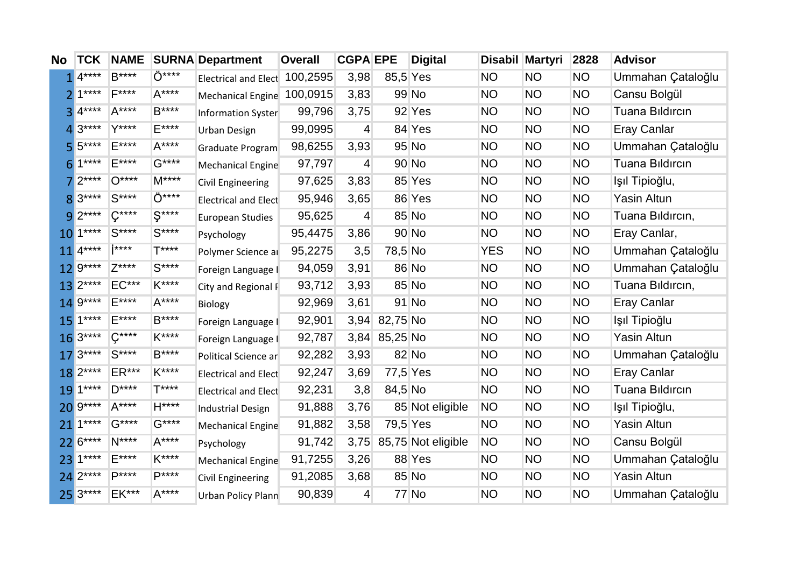| <b>No</b>       | <b>TCK</b>            | <b>NAME</b> |               | <b>SURNA Department</b>       | <b>Overall</b> | <b>CGPA EPE</b> |               | <b>Digital</b>     |            | Disabil Martyri | 2828      | <b>Advisor</b>         |
|-----------------|-----------------------|-------------|---------------|-------------------------------|----------------|-----------------|---------------|--------------------|------------|-----------------|-----------|------------------------|
|                 | $4***$                | $B***$      | Ö****         | Electrical and Elect 100,2595 |                | 3,98            | 85,5 Yes      |                    | <b>NO</b>  | <b>NO</b>       | <b>NO</b> | Ummahan Çataloğlu      |
|                 | $1***$                | $F***$      | $A***$        | Mechanical Engine 100,0915    |                | 3,83            |               | 99 No              | <b>NO</b>  | <b>NO</b>       | <b>NO</b> | Cansu Bolgül           |
| 3               | $4***$                | $A***$      | $B***$        | Information Syster            | 99,796         | 3,75            |               | 92 Yes             | <b>NO</b>  | <b>NO</b>       | <b>NO</b> | <b>Tuana Bildircin</b> |
| 4               | $3***$                | $V$ ****    | $E***$        | Urban Design                  | 99,0995        | $\overline{4}$  |               | 84 Yes             | <b>NO</b>  | <b>NO</b>       | <b>NO</b> | <b>Eray Canlar</b>     |
|                 | $5***$                | E****       | $A***$        | Graduate Program              | 98,6255        | 3,93            |               | 95 No              | <b>NO</b>  | <b>NO</b>       | <b>NO</b> | Ummahan Çataloğlu      |
| 61              | $1***$                | E****       | $G***$        | Mechanical Engine             | 97,797         | $\overline{4}$  |               | 90 No              | <b>NO</b>  | <b>NO</b>       | <b>NO</b> | Tuana Bildircin        |
|                 | $2***$                | $O***$      | $M***$        | <b>Civil Engineering</b>      | 97,625         | 3,83            |               | 85 Yes             | <b>NO</b>  | <b>NO</b>       | <b>NO</b> | Işıl Tipioğlu,         |
|                 | 8 3****               | $S***$      | Ö****         | <b>Electrical and Elect</b>   | 95,946         | 3,65            |               | 86 Yes             | <b>NO</b>  | <b>NO</b>       | <b>NO</b> | Yasin Altun            |
|                 | $9^{2***}$            | $C***$      | $S***$        | <b>European Studies</b>       | 95,625         | 4               |               | 85 No              | NO.        | <b>NO</b>       | <b>NO</b> | Tuana Bildircin,       |
|                 | $10^{1***}$           | $S***$      | $S***$        | Psychology                    | 95,4475        | 3,86            |               | 90 No              | NO.        | <b>NO</b>       | <b>NO</b> | Eray Canlar,           |
|                 | $11$ <sup>4****</sup> | i****       | T****         | Polymer Science ar            | 95,2275        | 3,5             | 78,5 No       |                    | <b>YES</b> | <b>NO</b>       | <b>NO</b> | Ummahan Çataloğlu      |
|                 | 12 9****              | $7***$      | $S***$        | Foreign Language I            | 94,059         | 3,91            |               | 86 No              | <b>NO</b>  | <b>NO</b>       | <b>NO</b> | Ummahan Çataloğlu      |
| 13              | $2***$                | $EC***$     | K****         | City and Regional F           | 93,712         | 3,93            |               | 85 No              | <b>NO</b>  | <b>NO</b>       | <b>NO</b> | Tuana Bildircin,       |
|                 | 14 9****              | $F***$      | $A***$        | <b>Biology</b>                | 92,969         | 3,61            |               | 91 No              | <b>NO</b>  | <b>NO</b>       | <b>NO</b> | <b>Eray Canlar</b>     |
| 15 <sup>1</sup> | $1***$                | $E***$      | B****         | Foreign Language I            | 92,901         | 3,94            | 82,75 No      |                    | <b>NO</b>  | <b>NO</b>       | <b>NO</b> | Işıl Tipioğlu          |
|                 | $163***$              | $C***$      | K****         | Foreign Language I            | 92,787         |                 | 3,84 85,25 No |                    | <b>NO</b>  | <b>NO</b>       | <b>NO</b> | <b>Yasin Altun</b>     |
|                 | $173***$              | $S***$      | B****         | Political Science ar          | 92,282         | 3,93            |               | 82 No              | <b>NO</b>  | <b>NO</b>       | <b>NO</b> | Ummahan Çataloğlu      |
|                 | 18 2****              | ER***       | K****         | <b>Electrical and Elect</b>   | 92,247         | 3,69            | 77,5 Yes      |                    | <b>NO</b>  | <b>NO</b>       | <b>NO</b> | <b>Eray Canlar</b>     |
|                 | 19 1****              | $D***$      | $T***$        | <b>Electrical and Elect</b>   | 92,231         | 3,8             | 84,5 No       |                    | <b>NO</b>  | <b>NO</b>       | <b>NO</b> | <b>Tuana Bildircin</b> |
|                 | 20 9****              | $A***$      | H****         | <b>Industrial Design</b>      | 91,888         | 3,76            |               | 85 Not eligible    | <b>NO</b>  | <b>NO</b>       | <b>NO</b> | Işıl Tipioğlu,         |
| 21              | $1***$                | $G***$      | $G***$        | Mechanical Engine             | 91,882         | 3,58            | 79,5 Yes      |                    | <b>NO</b>  | <b>NO</b>       | <b>NO</b> | Yasin Altun            |
|                 | 22 6****              | $N***$      | $A***$        | Psychology                    | 91,742         | 3,75            |               | 85,75 Not eligible | <b>NO</b>  | <b>NO</b>       | <b>NO</b> | Cansu Bolgül           |
|                 | 23 1****              | $E***$      | $K^{***}$     | Mechanical Engine             | 91,7255        | 3,26            |               | 88 Yes             | <b>NO</b>  | <b>NO</b>       | <b>NO</b> | Ummahan Çataloğlu      |
|                 | 24 2****              | $D***$      | <b>D</b> **** | <b>Civil Engineering</b>      | 91,2085        | 3,68            |               | 85 No              | <b>NO</b>  | <b>NO</b>       | <b>NO</b> | <b>Yasin Altun</b>     |
|                 | 25 3****              | EK***       | A****         | Urban Policy Plann            | 90,839         | $\overline{4}$  |               | <b>77 No</b>       | <b>NO</b>  | <b>NO</b>       | <b>NO</b> | Ummahan Çataloğlu      |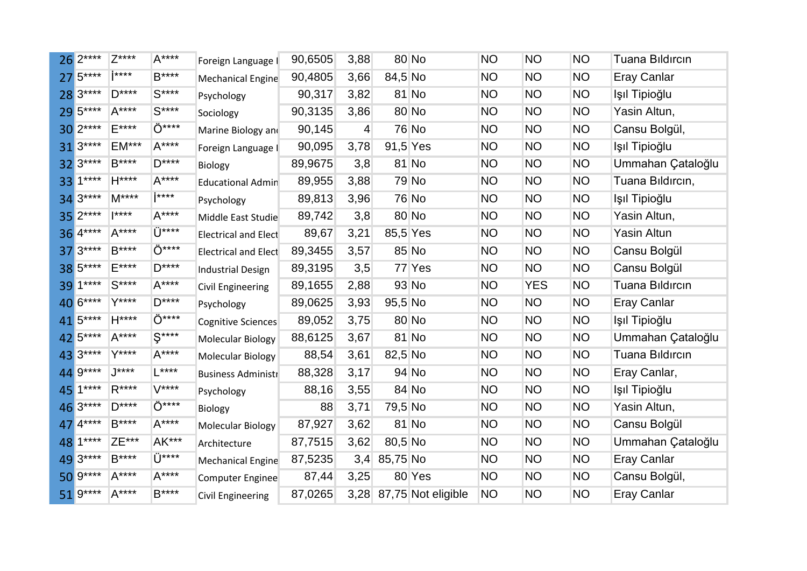|    | $26 2***$   | $Z***$  | $A***$          | Foreign Language I          | 90,6505 | 3,88           |              | 80 No                   | <b>NO</b> | <b>NO</b>  | <b>NO</b> | <b>Tuana Bildircin</b> |
|----|-------------|---------|-----------------|-----------------------------|---------|----------------|--------------|-------------------------|-----------|------------|-----------|------------------------|
|    | $275***$    | i****   | $B***$          | Mechanical Engine           | 90,4805 | 3,66           | 84,5 No      |                         | <b>NO</b> | <b>NO</b>  | <b>NO</b> | <b>Eray Canlar</b>     |
|    | 28 3****    | $D***$  | $S***$          | Psychology                  | 90,317  | 3,82           |              | 81 No                   | <b>NO</b> | <b>NO</b>  | <b>NO</b> | Işıl Tipioğlu          |
|    | 29 5****    | $A***$  | $S***$          | Sociology                   | 90,3135 | 3,86           |              | 80 No                   | <b>NO</b> | <b>NO</b>  | <b>NO</b> | Yasin Altun,           |
|    | $30 2***$   | E****   | Ö****           | Marine Biology and          | 90,145  | $\overline{4}$ |              | <b>76 No</b>            | <b>NO</b> | <b>NO</b>  | <b>NO</b> | Cansu Bolgül,          |
|    | $313***$    | $EM***$ | $A***$          | Foreign Language I          | 90,095  | 3,78           | 91,5 Yes     |                         | <b>NO</b> | <b>NO</b>  | <b>NO</b> | Işıl Tipioğlu          |
|    | 32 3****    | $B***$  | $D***$          | <b>Biology</b>              | 89,9675 | 3,8            |              | 81 No                   | <b>NO</b> | <b>NO</b>  | <b>NO</b> | Ummahan Çataloğlu      |
|    | 33 1****    | $H***$  | $A***$          | <b>Educational Admin</b>    | 89,955  | 3,88           |              | 79 No                   | <b>NO</b> | <b>NO</b>  | <b>NO</b> | Tuana Bildircin,       |
|    | 34 3****    | $M***$  | i****           | Psychology                  | 89,813  | 3,96           |              | <b>76 No</b>            | <b>NO</b> | NO         | <b>NO</b> | Işıl Tipioğlu          |
|    | 35 2****    | $***$   | $A***$          | Middle East Studie          | 89,742  | 3,8            |              | 80 No                   | <b>NO</b> | NO         | <b>NO</b> | Yasin Altun,           |
|    | 36 4****    | $A***$  | $Ü***$          | <b>Electrical and Elect</b> | 89,67   | 3,21           | 85,5 Yes     |                         | <b>NO</b> | <b>NO</b>  | <b>NO</b> | <b>Yasin Altun</b>     |
|    | $37^{3***}$ | $B***$  | Ö****           | <b>Electrical and Elect</b> | 89,3455 | 3,57           |              | 85 No                   | <b>NO</b> | <b>NO</b>  | <b>NO</b> | Cansu Bolgül           |
|    | 38 5****    | F****   | $D***$          | <b>Industrial Design</b>    | 89,3195 | 3,5            |              | 77 Yes                  | <b>NO</b> | <b>NO</b>  | <b>NO</b> | Cansu Bolgül           |
| 39 | $1***$      | $S***$  | $A***$          | Civil Engineering           | 89,1655 | 2,88           |              | 93 No                   | <b>NO</b> | <b>YES</b> | <b>NO</b> | <b>Tuana Bildircin</b> |
|    | 40 6****    | $Y***$  | $D***$          | Psychology                  | 89,0625 | 3,93           | 95,5 No      |                         | <b>NO</b> | <b>NO</b>  | <b>NO</b> | <b>Eray Canlar</b>     |
|    | 41 5****    | H****   | Ö****           | <b>Cognitive Sciences</b>   | 89,052  | 3,75           |              | 80 No                   | <b>NO</b> | <b>NO</b>  | <b>NO</b> | Işıl Tipioğlu          |
|    | 42 5****    | $A***$  | $S***$          | <b>Molecular Biology</b>    | 88,6125 | 3,67           |              | 81 No                   | <b>NO</b> | <b>NO</b>  | <b>NO</b> | Ummahan Çataloğlu      |
|    | 43 3****    | $Y***$  | $A***$          | <b>Molecular Biology</b>    | 88,54   | 3,61           | 82,5 No      |                         | <b>NO</b> | <b>NO</b>  | <b>NO</b> | <b>Tuana Bildircin</b> |
|    | 44 9****    | $1***$  | $L***$          | <b>Business Administr</b>   | 88,328  | 3,17           |              | 94 No                   | NO.       | <b>NO</b>  | <b>NO</b> | Eray Canlar,           |
|    | 45 1****    | $R***$  | $V***$          | Psychology                  | 88,16   | 3,55           |              | 84 No                   | <b>NO</b> | <b>NO</b>  | <b>NO</b> | Işıl Tipioğlu          |
|    | 46 3****    | $D***$  | Ö****           | Biology                     | 88      | 3,71           | 79,5 No      |                         | <b>NO</b> | <b>NO</b>  | <b>NO</b> | Yasin Altun,           |
|    | 47 4****    | B****   | $A***$          | <b>Molecular Biology</b>    | 87,927  | 3,62           |              | 81 No                   | <b>NO</b> | <b>NO</b>  | <b>NO</b> | Cansu Bolgül           |
|    | 48 1****    | ZE***   | AK***           | Architecture                | 87,7515 | 3,62           | 80,5 No      |                         | <b>NO</b> | <b>NO</b>  | <b>NO</b> | Ummahan Çataloğlu      |
|    | 49 3****    | $B***$  | $\ddot{U}$ **** | <b>Mechanical Engine</b>    | 87,5235 |                | 3,4 85,75 No |                         | <b>NO</b> | <b>NO</b>  | <b>NO</b> | <b>Eray Canlar</b>     |
|    | 50 9****    | $A***$  | $A***$          | Computer Enginee            | 87,44   | 3,25           |              | 80 Yes                  | <b>NO</b> | <b>NO</b>  | <b>NO</b> | Cansu Bolgül,          |
|    | $519***$    | $A***$  | $B***$          | <b>Civil Engineering</b>    | 87,0265 |                |              | 3,28 87,75 Not eligible | <b>NO</b> | <b>NO</b>  | <b>NO</b> | <b>Eray Canlar</b>     |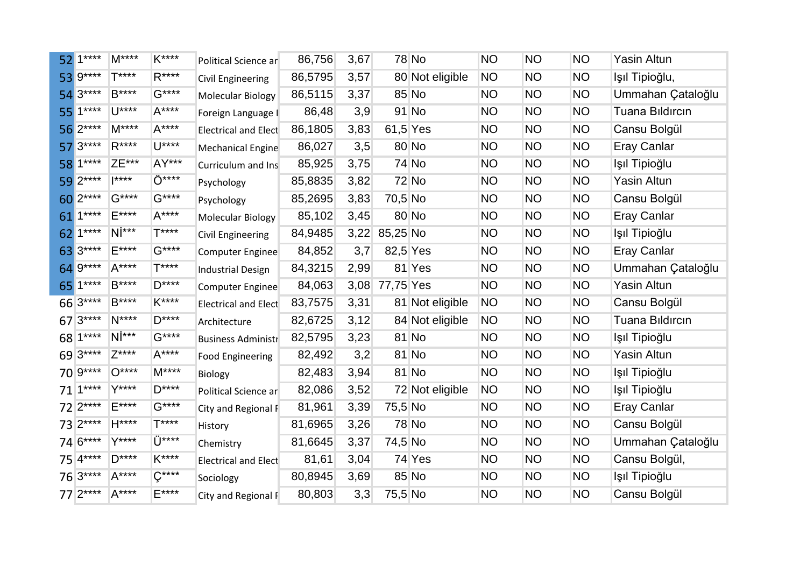|    | $521***$   | $M***$          | K****         | Political Science ar        | 86,756  | 3,67 |           | <b>78 No</b>    | <b>NO</b> | <b>NO</b> | <b>NO</b> | <b>Yasin Altun</b>     |
|----|------------|-----------------|---------------|-----------------------------|---------|------|-----------|-----------------|-----------|-----------|-----------|------------------------|
|    | 53 9****   | $T***$          | $R***$        | Civil Engineering           | 86,5795 | 3,57 |           | 80 Not eligible | <b>NO</b> | <b>NO</b> | <b>NO</b> | Ișil Tipioğlu,         |
|    | $543***$   | <b>B****</b>    | $G***$        | <b>Molecular Biology</b>    | 86,5115 | 3,37 |           | 85 No           | NO        | <b>NO</b> | NO.       | Ummahan Çataloğlu      |
|    | 55 1****   | $1^{***}$       | $A***$        | Foreign Language I          | 86,48   | 3,9  |           | 91 No           | <b>NO</b> | <b>NO</b> | <b>NO</b> | <b>Tuana Bildircin</b> |
|    | 56 2****   | $M***$          | $A***$        | <b>Electrical and Elect</b> | 86,1805 | 3,83 | 61,5 Yes  |                 | <b>NO</b> | <b>NO</b> | <b>NO</b> | Cansu Bolgül           |
|    | $57 3***$  | $R***$          | $U^{***}$     | Mechanical Engine           | 86,027  | 3,5  |           | 80 No           | <b>NO</b> | <b>NO</b> | <b>NO</b> | <b>Eray Canlar</b>     |
|    | 58 1****   | ZE***           | AY***         | Curriculum and Ins          | 85,925  | 3,75 |           | 74 No           | NO        | <b>NO</b> | <b>NO</b> | Işıl Tipioğlu          |
|    | 59 2****   | $ ***$          | Ö****         | Psychology                  | 85,8835 | 3,82 |           | <b>72 No</b>    | NO        | <b>NO</b> | <b>NO</b> | Yasin Altun            |
|    | 60 2****   | $G***$          | $G***$        | Psychology                  | 85,2695 | 3,83 | 70,5 No   |                 | <b>NO</b> | <b>NO</b> | <b>NO</b> | Cansu Bolgül           |
|    | 61 1****   | $E***$          | $A***$        | Molecular Biology           | 85,102  | 3,45 |           | 80 No           | NO        | <b>NO</b> | <b>NO</b> | <b>Eray Canlar</b>     |
|    | 62 1****   | $N^{\dagger**}$ | <b>T****</b>  | Civil Engineering           | 84,9485 | 3,22 | 85,25 No  |                 | NO        | <b>NO</b> | NO.       | Işıl Tipioğlu          |
|    | 63 3****   | E****           | $G***$        | Computer Enginee            | 84,852  | 3,7  | 82,5 Yes  |                 | NO        | <b>NO</b> | <b>NO</b> | <b>Eray Canlar</b>     |
|    | 64 9****   | $A***$          | <b>T****</b>  | <b>Industrial Design</b>    | 84,3215 | 2,99 |           | 81 Yes          | <b>NO</b> | <b>NO</b> | <b>NO</b> | Ummahan Çataloğlu      |
| 65 | $1***$     | $B***$          | $D***$        | Computer Enginee            | 84,063  | 3,08 | 77,75 Yes |                 | <b>NO</b> | <b>NO</b> | <b>NO</b> | Yasin Altun            |
|    | 66 3****   | $B***$          | K****         | <b>Electrical and Elect</b> | 83,7575 | 3,31 |           | 81 Not eligible | NO        | <b>NO</b> | <b>NO</b> | Cansu Bolgül           |
|    | $673***$   | $N***$          | $D***$        | Architecture                | 82,6725 | 3,12 |           | 84 Not eligible | <b>NO</b> | <b>NO</b> | <b>NO</b> | <b>Tuana Bildircin</b> |
|    | 68 1****   | $N^{\dagger**}$ | $G***$        | <b>Business Administr</b>   | 82,5795 | 3,23 |           | 81 No           | <b>NO</b> | <b>NO</b> | <b>NO</b> | Işıl Tipioğlu          |
|    | 69 3****   | $Z***$          | $A***$        | <b>Food Engineering</b>     | 82,492  | 3,2  |           | 81 No           | <b>NO</b> | <b>NO</b> | <b>NO</b> | Yasin Altun            |
|    | 70 9****   | $O***$          | $M***$        | Biology                     | 82,483  | 3,94 |           | 81 No           | NO        | <b>NO</b> | NO.       | Işıl Tipioğlu          |
|    | $71$ 1**** | $Y***$          | $D***$        | Political Science ar        | 82,086  | 3,52 |           | 72 Not eligible | NO        | <b>NO</b> | <b>NO</b> | Işıl Tipioğlu          |
|    | 72 2****   | E****           | $G***$        | City and Regional F         | 81,961  | 3,39 | 75,5 No   |                 | <b>NO</b> | <b>NO</b> | <b>NO</b> | <b>Eray Canlar</b>     |
|    | 73 2****   | $H***$          | <b>T****</b>  | History                     | 81,6965 | 3,26 |           | <b>78 No</b>    | NO        | <b>NO</b> | <b>NO</b> | Cansu Bolgül           |
|    | 74 6****   | Y****           | $Ü***$        | Chemistry                   | 81,6645 | 3,37 | 74,5 No   |                 | NO        | <b>NO</b> | <b>NO</b> | Ummahan Çataloğlu      |
|    | 75 4****   | $D***$          | K****         | <b>Electrical and Elect</b> | 81,61   | 3,04 |           | 74 Yes          | <b>NO</b> | <b>NO</b> | <b>NO</b> | Cansu Bolgül,          |
|    | $763***$   | $A***$          | $\zeta^{***}$ | Sociology                   | 80,8945 | 3,69 |           | 85 No           | <b>NO</b> | <b>NO</b> | <b>NO</b> | Işıl Tipioğlu          |
|    | $77 2***$  | $A***$          | $E***$        | City and Regional F         | 80,803  | 3,3  | 75,5 No   |                 | <b>NO</b> | <b>NO</b> | <b>NO</b> | Cansu Bolgül           |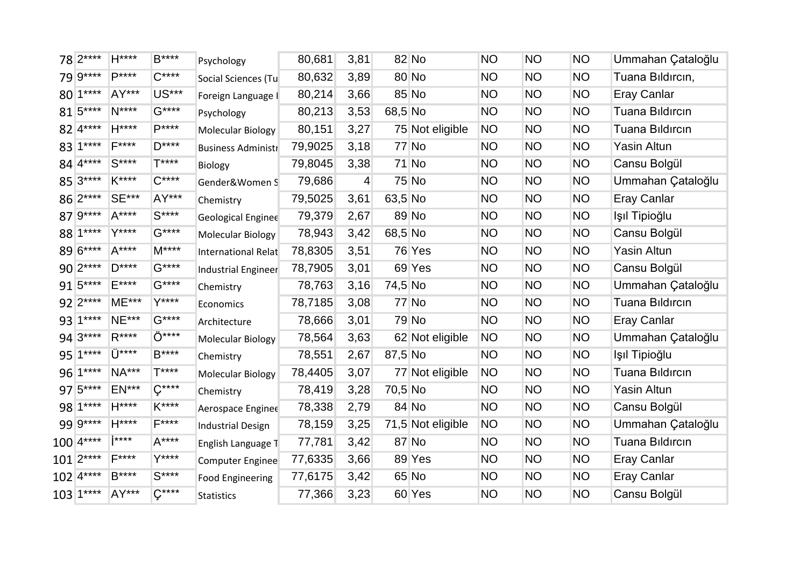| 78 2****               | $H***$          | B****                      | Psychology                | 80,681  | 3,81           |         | 82 No             | <b>NO</b> | <b>NO</b> | <b>NO</b> | Ummahan Çataloğlu      |
|------------------------|-----------------|----------------------------|---------------------------|---------|----------------|---------|-------------------|-----------|-----------|-----------|------------------------|
| 79 9****               | <b>P****</b>    | $C***$                     | Social Sciences (Tu       | 80,632  | 3,89           |         | 80 No             | <b>NO</b> | <b>NO</b> | <b>NO</b> | Tuana Bildircin,       |
| 80 1****               | AY***           | US***                      | Foreign Language I        | 80,214  | 3,66           |         | 85 No             | <b>NO</b> | <b>NO</b> | <b>NO</b> | <b>Eray Canlar</b>     |
| 81 5****               | $N***$          | $G***$                     | Psychology                | 80,213  | 3,53           | 68,5 No |                   | <b>NO</b> | <b>NO</b> | <b>NO</b> | <b>Tuana Bildircin</b> |
| 82 4****               | $H***$          | $P***$                     | Molecular Biology         | 80,151  | 3,27           |         | 75 Not eligible   | <b>NO</b> | <b>NO</b> | <b>NO</b> | <b>Tuana Bildircin</b> |
| 83 1****               | $F***$          | $D***$                     | <b>Business Administr</b> | 79,9025 | 3,18           |         | 77 No             | <b>NO</b> | <b>NO</b> | <b>NO</b> | Yasin Altun            |
| 84 4****               | $S***$          | $T***$                     | <b>Biology</b>            | 79,8045 | 3,38           |         | 71 No             | <b>NO</b> | <b>NO</b> | <b>NO</b> | Cansu Bolgül           |
| 85 3****               | K****           | $C***$                     | Gender&Women S            | 79,686  | $\overline{4}$ |         | 75 No             | <b>NO</b> | <b>NO</b> | <b>NO</b> | Ummahan Çataloğlu      |
| 86 2****               | <b>SE***</b>    | AY***                      | Chemistry                 | 79,5025 | 3,61           | 63,5 No |                   | <b>NO</b> | <b>NO</b> | <b>NO</b> | Eray Canlar            |
| 87 9****               | $A***$          | $S***$                     | <b>Geological Enginee</b> | 79,379  | 2,67           |         | 89 No             | <b>NO</b> | <b>NO</b> | <b>NO</b> | Işıl Tipioğlu          |
| 88 1****               | Y****           | $G***$                     | <b>Molecular Biology</b>  | 78,943  | 3,42           | 68,5 No |                   | <b>NO</b> | <b>NO</b> | <b>NO</b> | Cansu Bolgül           |
| 89 6****               | $A***$          | $M***$                     | International Relat       | 78,8305 | 3,51           |         | 76 Yes            | <b>NO</b> | <b>NO</b> | <b>NO</b> | Yasin Altun            |
| 90 2****               | $D***$          | $G***$                     | Industrial Engineer       | 78,7905 | 3,01           |         | 69 Yes            | <b>NO</b> | <b>NO</b> | <b>NO</b> | Cansu Bolgül           |
| 91 5****               | $E***$          | $G***$                     | Chemistry                 | 78,763  | 3,16           | 74,5 No |                   | <b>NO</b> | <b>NO</b> | <b>NO</b> | Ummahan Çataloğlu      |
| 92 2****               | <b>ME***</b>    | Y****                      | Economics                 | 78,7185 | 3,08           |         | 77 No             | <b>NO</b> | <b>NO</b> | <b>NO</b> | <b>Tuana Bildircin</b> |
| 93 1****               | <b>NE***</b>    | $G***$                     | Architecture              | 78,666  | 3,01           |         | 79 No             | <b>NO</b> | <b>NO</b> | <b>NO</b> | <b>Eray Canlar</b>     |
| 94 3****               | $R***$          | Ö****                      | Molecular Biology         | 78,564  | 3,63           |         | 62 Not eligible   | <b>NO</b> | <b>NO</b> | <b>NO</b> | Ummahan Çataloğlu      |
| 95 1****               | $\ddot{1}$ **** | $B***$                     | Chemistry                 | 78,551  | 2,67           | 87,5 No |                   | <b>NO</b> | <b>NO</b> | <b>NO</b> | Işıl Tipioğlu          |
| 96 1****               | <b>NA***</b>    | $T***$                     | <b>Molecular Biology</b>  | 78,4405 | 3,07           |         | 77 Not eligible   | NO        | <b>NO</b> | <b>NO</b> | <b>Tuana Bildircin</b> |
| 97 5****               | <b>EN***</b>    | $\zeta^{\ast\ast\ast\ast}$ | Chemistry                 | 78,419  | 3,28           | 70,5 No |                   | <b>NO</b> | <b>NO</b> | <b>NO</b> | <b>Yasin Altun</b>     |
| 98 1****               | $H***$          | K****                      | Aerospace Enginee         | 78,338  | 2,79           |         | 84 No             | <b>NO</b> | <b>NO</b> | <b>NO</b> | Cansu Bolgül           |
| 99 9****               | $H***$          | $F***$                     | <b>Industrial Design</b>  | 78,159  | 3,25           |         | 71,5 Not eligible | <b>NO</b> | <b>NO</b> | <b>NO</b> | Ummahan Çataloğlu      |
| $100 4***$             | <b>i</b> ****   | $A***$                     | English Language T        | 77,781  | 3,42           |         | 87 No             | <b>NO</b> | <b>NO</b> | <b>NO</b> | <b>Tuana Bildircin</b> |
| $101 2***$             | <b>E****</b>    | $Y***$                     | Computer Enginee          | 77,6335 | 3,66           |         | 89 Yes            | <b>NO</b> | <b>NO</b> | <b>NO</b> | <b>Eray Canlar</b>     |
| $102$ $4***$           | B****           | $S***$                     | <b>Food Engineering</b>   | 77,6175 | 3,42           |         | 65 No             | <b>NO</b> | <b>NO</b> | <b>NO</b> | <b>Eray Canlar</b>     |
| $103$ <sup>1****</sup> | AY***           | $C***$                     | <b>Statistics</b>         | 77,366  | 3,23           |         | 60 Yes            | <b>NO</b> | <b>NO</b> | <b>NO</b> | Cansu Bolgül           |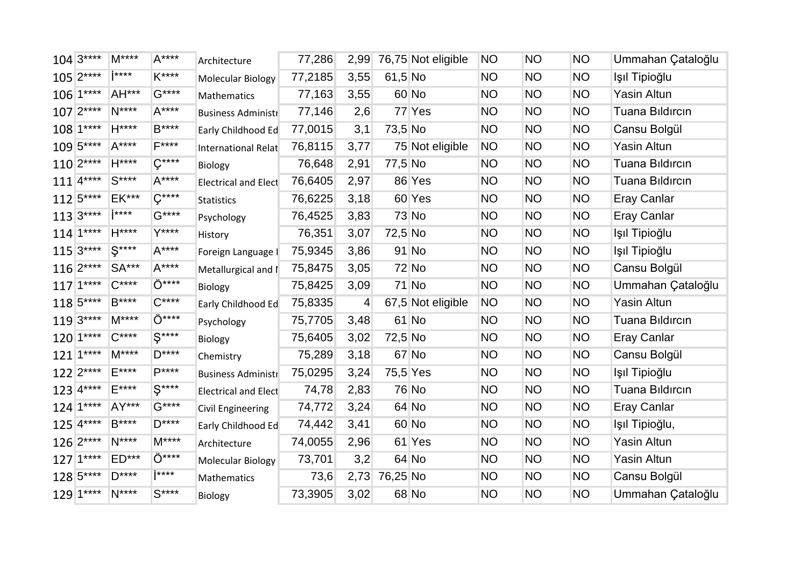| $104 3***$             | $M***$       | $A***$                     | Architecture                | 77,286  | 2,99           |          | 76,75 Not eligible | <b>NO</b> | <b>NO</b> | <b>NO</b> | Ummahan Çataloğlu      |
|------------------------|--------------|----------------------------|-----------------------------|---------|----------------|----------|--------------------|-----------|-----------|-----------|------------------------|
| $105 2***$             | $1***$       | K****                      | Molecular Biology           | 77,2185 | 3,55           | 61,5 No  |                    | <b>NO</b> | <b>NO</b> | <b>NO</b> | Işıl Tipioğlu          |
| $106$ 1****            | AH***        | $G***$                     | Mathematics                 | 77,163  | 3,55           |          | 60 No              | NO.       | <b>NO</b> | <b>NO</b> | Yasin Altun            |
| $107 2***$             | $N***$       | $A***$                     | <b>Business Administr</b>   | 77,146  | 2,6            |          | 77 Yes             | <b>NO</b> | <b>NO</b> | <b>NO</b> | <b>Tuana Bildircin</b> |
| $108$ 1****            | $H***$       | $B***$                     | Early Childhood Ed          | 77,0015 | 3,1            | 73,5 No  |                    | <b>NO</b> | <b>NO</b> | <b>NO</b> | Cansu Bolgül           |
| 109 5****              | $A***$       | $F***$                     | International Relat         | 76,8115 | 3,77           |          | 75 Not eligible    | <b>NO</b> | <b>NO</b> | <b>NO</b> | Yasin Altun            |
| $110 2***$             | $H***$       | $C***$                     | Biology                     | 76,648  | 2,91           | 77,5 No  |                    | <b>NO</b> | <b>NO</b> | <b>NO</b> | <b>Tuana Bildircin</b> |
| $111$ <sup>4****</sup> | $S***$       | $A***$                     | <b>Electrical and Elect</b> | 76,6405 | 2,97           |          | 86 Yes             | <b>NO</b> | <b>NO</b> | <b>NO</b> | <b>Tuana Bildircin</b> |
| $112 5***$             | <b>EK***</b> | $\zeta^{\ast\ast\ast\ast}$ | <b>Statistics</b>           | 76,6225 | 3,18           |          | 60 Yes             | <b>NO</b> | <b>NO</b> | <b>NO</b> | <b>Eray Canlar</b>     |
| $113 3***$             | $1***$       | $G***$                     | Psychology                  | 76,4525 | 3,83           |          | <b>73 No</b>       | <b>NO</b> | <b>NO</b> | <b>NO</b> | <b>Eray Canlar</b>     |
| $114$ <sup>1****</sup> | $H***$       | $Y***$                     | History                     | 76,351  | 3,07           | 72,5 No  |                    | <b>NO</b> | <b>NO</b> | <b>NO</b> | Işıl Tipioğlu          |
| $115 3***$             | $S***$       | $A***$                     | Foreign Language I          | 75,9345 | 3,86           |          | 91 No              | <b>NO</b> | <b>NO</b> | <b>NO</b> | Işıl Tipioğlu          |
| $116 2***$             | <b>SA***</b> | $A***$                     | Metallurgical and I         | 75,8475 | 3,05           |          | <b>72 No</b>       | <b>NO</b> | <b>NO</b> | <b>NO</b> | Cansu Bolgül           |
| $117$  1****           | $C***$       | Ö****                      | Biology                     | 75,8425 | 3,09           |          | <b>71 No</b>       | <b>NO</b> | <b>NO</b> | <b>NO</b> | Ummahan Çataloğlu      |
| 118 5****              | $B***$       | $C***$                     | Early Childhood Ed          | 75,8335 | $\overline{4}$ |          | 67,5 Not eligible  | <b>NO</b> | <b>NO</b> | <b>NO</b> | Yasin Altun            |
| $119 3***$             | $M***$       | Ö****                      | Psychology                  | 75,7705 | 3,48           |          | 61 No              | <b>NO</b> | <b>NO</b> | <b>NO</b> | <b>Tuana Bildircin</b> |
| $120$ 1****            | $C***$       | $S***$                     | Biology                     | 75,6405 | 3,02           | 72,5 No  |                    | <b>NO</b> | <b>NO</b> | <b>NO</b> | <b>Eray Canlar</b>     |
| $121$ <sup>1****</sup> | $M***$       | $D***$                     | Chemistry                   | 75,289  | 3,18           |          | 67 No              | <b>NO</b> | <b>NO</b> | <b>NO</b> | Cansu Bolgül           |
| $122$ $2***$           | $E***$       | $P***$                     | <b>Business Administr</b>   | 75,0295 | 3,24           | 75,5 Yes |                    | <b>NO</b> | <b>NO</b> | <b>NO</b> | Işıl Tipioğlu          |
| $123$ 4****            | $E***$       | $S***$                     | <b>Electrical and Elect</b> | 74,78   | 2,83           |          | <b>76 No</b>       | <b>NO</b> | <b>NO</b> | <b>NO</b> | <b>Tuana Bildircin</b> |
| $124$ 1****            | AY***        | $G***$                     | <b>Civil Engineering</b>    | 74,772  | 3,24           |          | 64 No              | <b>NO</b> | <b>NO</b> | <b>NO</b> | <b>Eray Canlar</b>     |
| $125 4***$             | B****        | $D***$                     | Early Childhood Ed          | 74,442  | 3,41           |          | 60 No              | <b>NO</b> | <b>NO</b> | <b>NO</b> | Işıl Tipioğlu,         |
| $126 2***$             | $N***$       | $M***$                     | Architecture                | 74,0055 | 2,96           |          | 61 Yes             | <b>NO</b> | <b>NO</b> | <b>NO</b> | Yasin Altun            |
| $127$ 1****            | $ED***$      | Ö****                      | <b>Molecular Biology</b>    | 73,701  | 3,2            |          | 64 No              | <b>NO</b> | <b>NO</b> | <b>NO</b> | <b>Yasin Altun</b>     |
| 128 5****              | $D***$       | i****                      | Mathematics                 | 73,6    | 2,73           | 76,25 No |                    | <b>NO</b> | <b>NO</b> | <b>NO</b> | Cansu Bolgül           |
| 129 1****              | $N***$       | $S***$                     | Biology                     | 73,3905 | 3,02           |          | 68 No              | <b>NO</b> | <b>NO</b> | <b>NO</b> | Ummahan Çataloğlu      |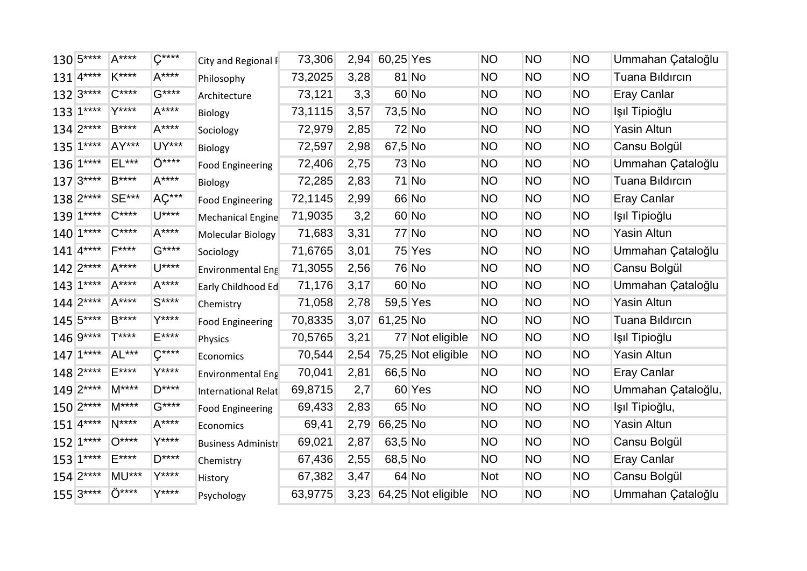| 130 5****              | A****        | $\zeta^{***}$ | City and Regional F       | 73,306  |      | 2,94 60,25 Yes |                         | <b>NO</b>  | <b>NO</b> | <b>NO</b> | Ummahan Çataloğlu      |
|------------------------|--------------|---------------|---------------------------|---------|------|----------------|-------------------------|------------|-----------|-----------|------------------------|
| $131$ <sup>4****</sup> | K****        | $A***$        | Philosophy                | 73,2025 | 3,28 |                | 81 No                   | <b>NO</b>  | <b>NO</b> | <b>NO</b> | <b>Tuana Bildircin</b> |
| $132 3***$             | $C***$       | $G***$        | Architecture              | 73,121  | 3,3  |                | 60 No                   | <b>NO</b>  | <b>NO</b> | <b>NO</b> | <b>Eray Canlar</b>     |
| 133 1****              | $Y***$       | $A***$        | Biology                   | 73,1115 | 3,57 | 73,5 No        |                         | <b>NO</b>  | <b>NO</b> | <b>NO</b> | Işıl Tipioğlu          |
| $134 2***$             | B****        | $A***$        | Sociology                 | 72,979  | 2,85 |                | <b>72 No</b>            | <b>NO</b>  | <b>NO</b> | <b>NO</b> | Yasin Altun            |
| $135 1***$             | AY***        | UY***         | Biology                   | 72,597  | 2,98 | 67,5 No        |                         | <b>NO</b>  | <b>NO</b> | <b>NO</b> | Cansu Bolgül           |
| $136 1***$             | $EL***$      | Ö****         | <b>Food Engineering</b>   | 72,406  | 2,75 |                | 73 No                   | <b>NO</b>  | <b>NO</b> | <b>NO</b> | Ummahan Çataloğlu      |
| $137 3***$             | $B***$       | $A***$        | Biology                   | 72,285  | 2,83 |                | 71 No                   | <b>NO</b>  | <b>NO</b> | <b>NO</b> | Tuana Bildircin        |
| 138 2****              | <b>SE***</b> | AÇ***         | <b>Food Engineering</b>   | 72,1145 | 2,99 |                | 66 No                   | <b>NO</b>  | <b>NO</b> | <b>NO</b> | <b>Eray Canlar</b>     |
| 139 1****              | $C***$       | $U***$        | <b>Mechanical Engine</b>  | 71,9035 | 3,2  |                | 60 No                   | <b>NO</b>  | <b>NO</b> | <b>NO</b> | Işıl Tipioğlu          |
| $140$   1****          | $C***$       | $A***$        | Molecular Biology         | 71,683  | 3,31 |                | 77 No                   | <b>NO</b>  | <b>NO</b> | <b>NO</b> | Yasin Altun            |
| $141$ <sup>****</sup>  | $F***$       | $G***$        | Sociology                 | 71,6765 | 3,01 |                | 75 Yes                  | <b>NO</b>  | <b>NO</b> | <b>NO</b> | Ummahan Çataloğlu      |
| $142$ $2***$           | $A***$       | $U***$        | <b>Environmental Eng</b>  | 71,3055 | 2,56 |                | 76 No                   | <b>NO</b>  | <b>NO</b> | <b>NO</b> | Cansu Bolgül           |
| $143$ $1***$           | $A***$       | $A***$        | Early Childhood Ed        | 71,176  | 3,17 |                | 60 No                   | <b>NO</b>  | <b>NO</b> | <b>NO</b> | Ummahan Çataloğlu      |
| $144 2***$             | $A***$       | $S***$        | Chemistry                 | 71,058  | 2,78 | 59,5 Yes       |                         | <b>NO</b>  | <b>NO</b> | <b>NO</b> | Yasin Altun            |
| $145 5***$             | $B***$       | Y****         | <b>Food Engineering</b>   | 70,8335 | 3,07 | 61,25 No       |                         | <b>NO</b>  | <b>NO</b> | <b>NO</b> | <b>Tuana Bildircin</b> |
| 146 9****              | T****        | E****         | Physics                   | 70,5765 | 3,21 |                | 77 Not eligible         | <b>NO</b>  | <b>NO</b> | <b>NO</b> | Işıl Tipioğlu          |
| $147$ 1****            | AL***        | $\zeta$ ****  | Economics                 | 70,544  | 2,54 |                | 75,25 Not eligible      | <b>NO</b>  | <b>NO</b> | <b>NO</b> | Yasin Altun            |
| 148 2****              | $E***$       | Y****         | <b>Environmental Eng</b>  | 70,041  | 2,81 | 66,5 No        |                         | <b>NO</b>  | <b>NO</b> | <b>NO</b> | <b>Eray Canlar</b>     |
| 149 2****              | $M***$       | $D***$        | International Relat       | 69,8715 | 2,7  |                | 60 Yes                  | <b>NO</b>  | <b>NO</b> | <b>NO</b> | Ummahan Çataloğlu,     |
| 150 2****              | $M***$       | $G***$        | <b>Food Engineering</b>   | 69,433  | 2,83 |                | 65 No                   | <b>NO</b>  | <b>NO</b> | <b>NO</b> | Işıl Tipioğlu,         |
| $151$ <sup>4****</sup> | $N***$       | $A***$        | Economics                 | 69,41   | 2,79 | 66,25 No       |                         | <b>NO</b>  | <b>NO</b> | <b>NO</b> | Yasin Altun            |
| $152$   $1***$         | $O***$       | Y****         | <b>Business Administr</b> | 69,021  | 2,87 | 63,5 No        |                         | <b>NO</b>  | <b>NO</b> | <b>NO</b> | Cansu Bolgül           |
| $153$ 1****            | $E***$       | $D***$        | Chemistry                 | 67,436  | 2,55 | 68,5 No        |                         | <b>NO</b>  | <b>NO</b> | <b>NO</b> | <b>Eray Canlar</b>     |
| $154 2***$             | <b>MU***</b> | Y****         | History                   | 67,382  | 3,47 |                | 64 No                   | <b>Not</b> | <b>NO</b> | <b>NO</b> | Cansu Bolgül           |
| $155 3***$             | Ö****        | Y****         | Psychology                | 63,9775 |      |                | 3,23 64,25 Not eligible | <b>NO</b>  | NO        | <b>NO</b> | Ummahan Çataloğlu      |